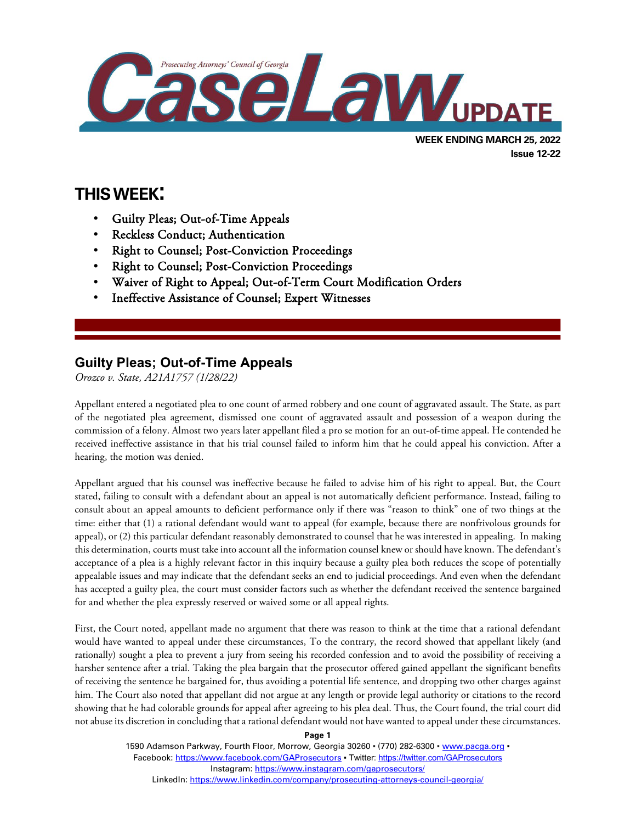

# **THIS WEEK:**

l

- Guilty Pleas; Out-of-Time Appeals
- Reckless Conduct; Authentication
- Right to Counsel; Post-Conviction Proceedings
- Right to Counsel; Post-Conviction Proceedings
- Waiver of Right to Appeal; Out-of-Term Court Modification Orders
- Ineffective Assistance of Counsel; Expert Witnesses

## **Guilty Pleas; Out-of-Time Appeals**

*Orozco v. State, A21A1757 (1/28/22)*

Appellant entered a negotiated plea to one count of armed robbery and one count of aggravated assault. The State, as part of the negotiated plea agreement, dismissed one count of aggravated assault and possession of a weapon during the commission of a felony. Almost two years later appellant filed a pro se motion for an out-of-time appeal. He contended he received ineffective assistance in that his trial counsel failed to inform him that he could appeal his conviction. After a hearing, the motion was denied.

Appellant argued that his counsel was ineffective because he failed to advise him of his right to appeal. But, the Court stated, failing to consult with a defendant about an appeal is not automatically deficient performance. Instead, failing to consult about an appeal amounts to deficient performance only if there was "reason to think" one of two things at the time: either that (1) a rational defendant would want to appeal (for example, because there are nonfrivolous grounds for appeal), or (2) this particular defendant reasonably demonstrated to counsel that he was interested in appealing. In making this determination, courts must take into account all the information counsel knew or should have known. The defendant's acceptance of a plea is a highly relevant factor in this inquiry because a guilty plea both reduces the scope of potentially appealable issues and may indicate that the defendant seeks an end to judicial proceedings. And even when the defendant has accepted a guilty plea, the court must consider factors such as whether the defendant received the sentence bargained for and whether the plea expressly reserved or waived some or all appeal rights.

First, the Court noted, appellant made no argument that there was reason to think at the time that a rational defendant would have wanted to appeal under these circumstances, To the contrary, the record showed that appellant likely (and rationally) sought a plea to prevent a jury from seeing his recorded confession and to avoid the possibility of receiving a harsher sentence after a trial. Taking the plea bargain that the prosecutor offered gained appellant the significant benefits of receiving the sentence he bargained for, thus avoiding a potential life sentence, and dropping two other charges against him. The Court also noted that appellant did not argue at any length or provide legal authority or citations to the record showing that he had colorable grounds for appeal after agreeing to his plea deal. Thus, the Court found, the trial court did not abuse its discretion in concluding that a rational defendant would not have wanted to appeal under these circumstances.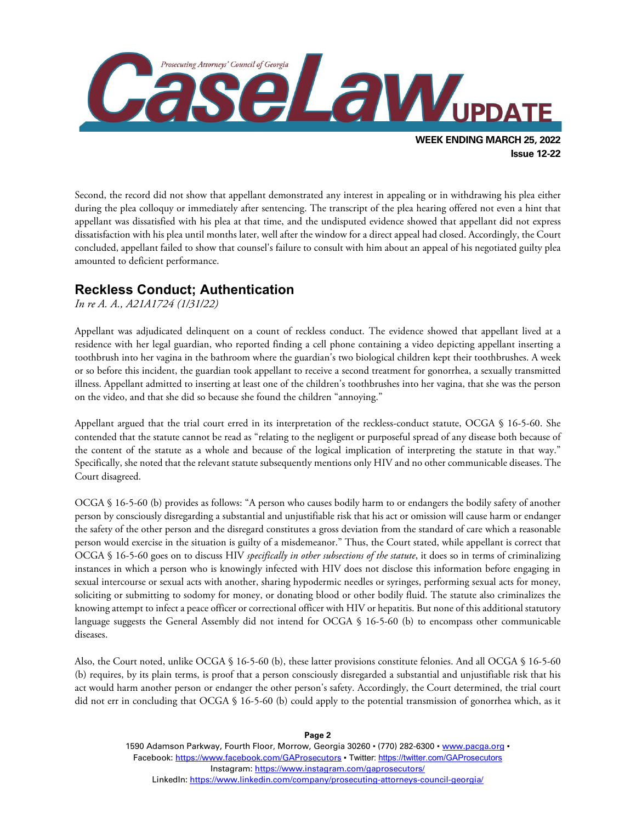

Second, the record did not show that appellant demonstrated any interest in appealing or in withdrawing his plea either during the plea colloquy or immediately after sentencing. The transcript of the plea hearing offered not even a hint that appellant was dissatisfied with his plea at that time, and the undisputed evidence showed that appellant did not express dissatisfaction with his plea until months later, well after the window for a direct appeal had closed. Accordingly, the Court concluded, appellant failed to show that counsel's failure to consult with him about an appeal of his negotiated guilty plea amounted to deficient performance.

#### **Reckless Conduct; Authentication**

#### *In re A. A., A21A1724 (1/31/22)*

Appellant was adjudicated delinquent on a count of reckless conduct. The evidence showed that appellant lived at a residence with her legal guardian, who reported finding a cell phone containing a video depicting appellant inserting a toothbrush into her vagina in the bathroom where the guardian's two biological children kept their toothbrushes. A week or so before this incident, the guardian took appellant to receive a second treatment for gonorrhea, a sexually transmitted illness. Appellant admitted to inserting at least one of the children's toothbrushes into her vagina, that she was the person on the video, and that she did so because she found the children "annoying."

Appellant argued that the trial court erred in its interpretation of the reckless-conduct statute, OCGA § 16-5-60. She contended that the statute cannot be read as "relating to the negligent or purposeful spread of any disease both because of the content of the statute as a whole and because of the logical implication of interpreting the statute in that way." Specifically, she noted that the relevant statute subsequently mentions only HIV and no other communicable diseases. The Court disagreed.

OCGA § 16-5-60 (b) provides as follows: "A person who causes bodily harm to or endangers the bodily safety of another person by consciously disregarding a substantial and unjustifiable risk that his act or omission will cause harm or endanger the safety of the other person and the disregard constitutes a gross deviation from the standard of care which a reasonable person would exercise in the situation is guilty of a misdemeanor." Thus, the Court stated, while appellant is correct that OCGA § 16-5-60 goes on to discuss HIV *specifically in other subsections of the statute*, it does so in terms of criminalizing instances in which a person who is knowingly infected with HIV does not disclose this information before engaging in sexual intercourse or sexual acts with another, sharing hypodermic needles or syringes, performing sexual acts for money, soliciting or submitting to sodomy for money, or donating blood or other bodily fluid. The statute also criminalizes the knowing attempt to infect a peace officer or correctional officer with HIV or hepatitis. But none of this additional statutory language suggests the General Assembly did not intend for OCGA § 16-5-60 (b) to encompass other communicable diseases.

Also, the Court noted, unlike OCGA § 16-5-60 (b), these latter provisions constitute felonies. And all OCGA § 16-5-60 (b) requires, by its plain terms, is proof that a person consciously disregarded a substantial and unjustifiable risk that his act would harm another person or endanger the other person's safety. Accordingly, the Court determined, the trial court did not err in concluding that OCGA § 16-5-60 (b) could apply to the potential transmission of gonorrhea which, as it

> 1590 Adamson Parkway, Fourth Floor, Morrow, Georgia 30260 · (770) 282-6300 · [www.pacga.org](http://www.pacga.org/) · Facebook:<https://www.facebook.com/GAProsecutors> . Twitter[: https://twitter.com/GAProsecutors](https://twitter.com/GAProsecutors) Instagram[: https://www.instagram.com/gaprosecutors/](https://www.instagram.com/gaprosecutors/) LinkedIn:<https://www.linkedin.com/company/prosecuting-attorneys-council-georgia/>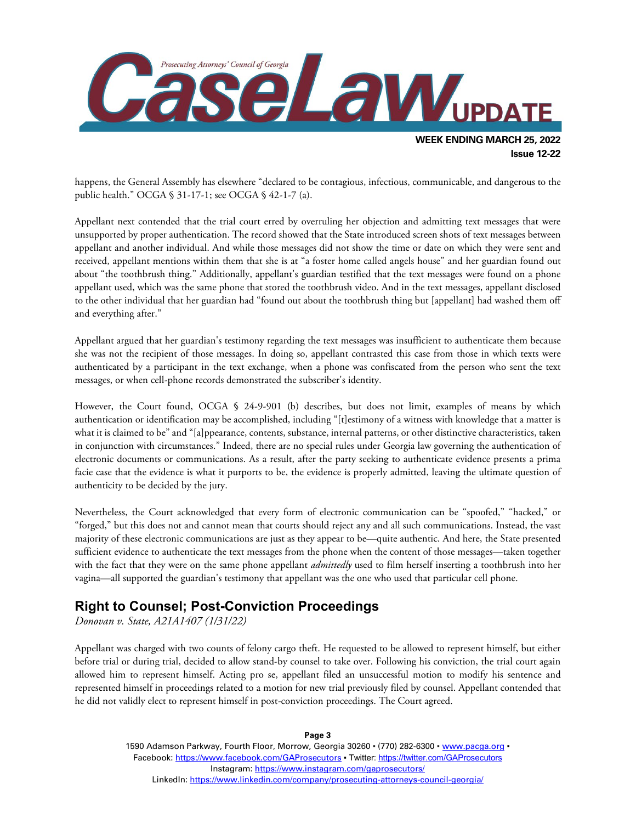

happens, the General Assembly has elsewhere "declared to be contagious, infectious, communicable, and dangerous to the public health." OCGA § 31-17-1; see OCGA § 42-1-7 (a).

Appellant next contended that the trial court erred by overruling her objection and admitting text messages that were unsupported by proper authentication. The record showed that the State introduced screen shots of text messages between appellant and another individual. And while those messages did not show the time or date on which they were sent and received, appellant mentions within them that she is at "a foster home called angels house" and her guardian found out about "the toothbrush thing." Additionally, appellant's guardian testified that the text messages were found on a phone appellant used, which was the same phone that stored the toothbrush video. And in the text messages, appellant disclosed to the other individual that her guardian had "found out about the toothbrush thing but [appellant] had washed them off and everything after."

Appellant argued that her guardian's testimony regarding the text messages was insufficient to authenticate them because she was not the recipient of those messages. In doing so, appellant contrasted this case from those in which texts were authenticated by a participant in the text exchange, when a phone was confiscated from the person who sent the text messages, or when cell-phone records demonstrated the subscriber's identity.

However, the Court found, OCGA § 24-9-901 (b) describes, but does not limit, examples of means by which authentication or identification may be accomplished, including "[t]estimony of a witness with knowledge that a matter is what it is claimed to be" and "[a]ppearance, contents, substance, internal patterns, or other distinctive characteristics, taken in conjunction with circumstances." Indeed, there are no special rules under Georgia law governing the authentication of electronic documents or communications. As a result, after the party seeking to authenticate evidence presents a prima facie case that the evidence is what it purports to be, the evidence is properly admitted, leaving the ultimate question of authenticity to be decided by the jury.

Nevertheless, the Court acknowledged that every form of electronic communication can be "spoofed," "hacked," or "forged," but this does not and cannot mean that courts should reject any and all such communications. Instead, the vast majority of these electronic communications are just as they appear to be—quite authentic. And here, the State presented sufficient evidence to authenticate the text messages from the phone when the content of those messages—taken together with the fact that they were on the same phone appellant *admittedly* used to film herself inserting a toothbrush into her vagina—all supported the guardian's testimony that appellant was the one who used that particular cell phone.

## **Right to Counsel; Post-Conviction Proceedings**

*Donovan v. State, A21A1407 (1/31/22)*

Appellant was charged with two counts of felony cargo theft. He requested to be allowed to represent himself, but either before trial or during trial, decided to allow stand-by counsel to take over. Following his conviction, the trial court again allowed him to represent himself. Acting pro se, appellant filed an unsuccessful motion to modify his sentence and represented himself in proceedings related to a motion for new trial previously filed by counsel. Appellant contended that he did not validly elect to represent himself in post-conviction proceedings. The Court agreed.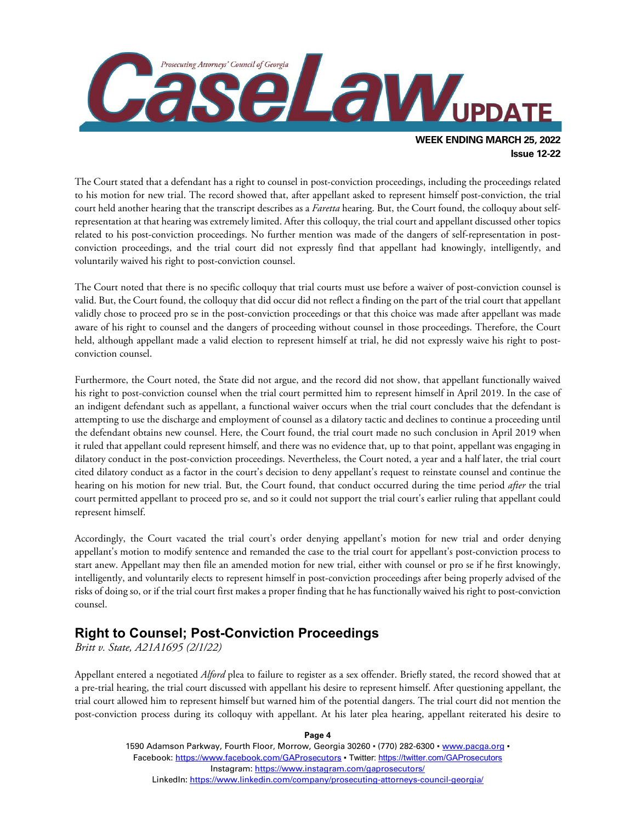

The Court stated that a defendant has a right to counsel in post-conviction proceedings, including the proceedings related to his motion for new trial. The record showed that, after appellant asked to represent himself post-conviction, the trial court held another hearing that the transcript describes as a *Faretta* hearing. But, the Court found, the colloquy about selfrepresentation at that hearing was extremely limited. After this colloquy, the trial court and appellant discussed other topics related to his post-conviction proceedings. No further mention was made of the dangers of self-representation in postconviction proceedings, and the trial court did not expressly find that appellant had knowingly, intelligently, and voluntarily waived his right to post-conviction counsel.

The Court noted that there is no specific colloquy that trial courts must use before a waiver of post-conviction counsel is valid. But, the Court found, the colloquy that did occur did not reflect a finding on the part of the trial court that appellant validly chose to proceed pro se in the post-conviction proceedings or that this choice was made after appellant was made aware of his right to counsel and the dangers of proceeding without counsel in those proceedings. Therefore, the Court held, although appellant made a valid election to represent himself at trial, he did not expressly waive his right to postconviction counsel.

Furthermore, the Court noted, the State did not argue, and the record did not show, that appellant functionally waived his right to post-conviction counsel when the trial court permitted him to represent himself in April 2019. In the case of an indigent defendant such as appellant, a functional waiver occurs when the trial court concludes that the defendant is attempting to use the discharge and employment of counsel as a dilatory tactic and declines to continue a proceeding until the defendant obtains new counsel. Here, the Court found, the trial court made no such conclusion in April 2019 when it ruled that appellant could represent himself, and there was no evidence that, up to that point, appellant was engaging in dilatory conduct in the post-conviction proceedings. Nevertheless, the Court noted, a year and a half later, the trial court cited dilatory conduct as a factor in the court's decision to deny appellant's request to reinstate counsel and continue the hearing on his motion for new trial. But, the Court found, that conduct occurred during the time period *after* the trial court permitted appellant to proceed pro se, and so it could not support the trial court's earlier ruling that appellant could represent himself.

Accordingly, the Court vacated the trial court's order denying appellant's motion for new trial and order denying appellant's motion to modify sentence and remanded the case to the trial court for appellant's post-conviction process to start anew. Appellant may then file an amended motion for new trial, either with counsel or pro se if he first knowingly, intelligently, and voluntarily elects to represent himself in post-conviction proceedings after being properly advised of the risks of doing so, or if the trial court first makes a proper finding that he has functionally waived his right to post-conviction counsel.

## **Right to Counsel; Post-Conviction Proceedings**

*Britt v. State, A21A1695 (2/1/22)*

Appellant entered a negotiated *Alford* plea to failure to register as a sex offender. Briefly stated, the record showed that at a pre-trial hearing, the trial court discussed with appellant his desire to represent himself. After questioning appellant, the trial court allowed him to represent himself but warned him of the potential dangers. The trial court did not mention the post-conviction process during its colloquy with appellant. At his later plea hearing, appellant reiterated his desire to

> 1590 Adamson Parkway, Fourth Floor, Morrow, Georgia 30260 · (770) 282-6300 · [www.pacga.org](http://www.pacga.org/) · Facebook:<https://www.facebook.com/GAProsecutors> . Twitter[: https://twitter.com/GAProsecutors](https://twitter.com/GAProsecutors) Instagram[: https://www.instagram.com/gaprosecutors/](https://www.instagram.com/gaprosecutors/) LinkedIn:<https://www.linkedin.com/company/prosecuting-attorneys-council-georgia/>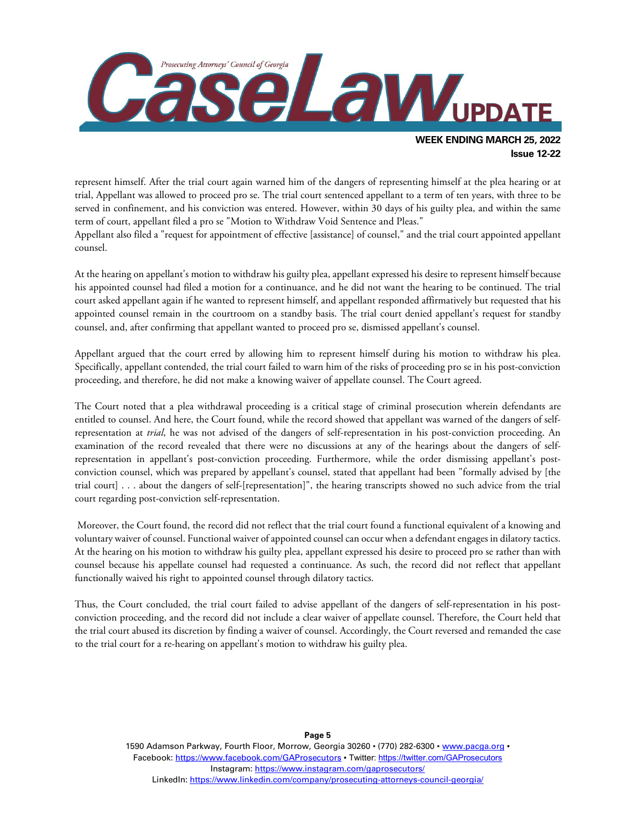

represent himself. After the trial court again warned him of the dangers of representing himself at the plea hearing or at trial, Appellant was allowed to proceed pro se. The trial court sentenced appellant to a term of ten years, with three to be served in confinement, and his conviction was entered. However, within 30 days of his guilty plea, and within the same term of court, appellant filed a pro se "Motion to Withdraw Void Sentence and Pleas."

Appellant also filed a "request for appointment of effective [assistance] of counsel," and the trial court appointed appellant counsel.

At the hearing on appellant's motion to withdraw his guilty plea, appellant expressed his desire to represent himself because his appointed counsel had filed a motion for a continuance, and he did not want the hearing to be continued. The trial court asked appellant again if he wanted to represent himself, and appellant responded affirmatively but requested that his appointed counsel remain in the courtroom on a standby basis. The trial court denied appellant's request for standby counsel, and, after confirming that appellant wanted to proceed pro se, dismissed appellant's counsel.

Appellant argued that the court erred by allowing him to represent himself during his motion to withdraw his plea. Specifically, appellant contended, the trial court failed to warn him of the risks of proceeding pro se in his post-conviction proceeding, and therefore, he did not make a knowing waiver of appellate counsel. The Court agreed.

The Court noted that a plea withdrawal proceeding is a critical stage of criminal prosecution wherein defendants are entitled to counsel. And here, the Court found, while the record showed that appellant was warned of the dangers of selfrepresentation at *trial*, he was not advised of the dangers of self-representation in his post-conviction proceeding. An examination of the record revealed that there were no discussions at any of the hearings about the dangers of selfrepresentation in appellant's post-conviction proceeding. Furthermore, while the order dismissing appellant's postconviction counsel, which was prepared by appellant's counsel, stated that appellant had been "formally advised by [the trial court] . . . about the dangers of self-[representation]", the hearing transcripts showed no such advice from the trial court regarding post-conviction self-representation.

Moreover, the Court found, the record did not reflect that the trial court found a functional equivalent of a knowing and voluntary waiver of counsel. Functional waiver of appointed counsel can occur when a defendant engages in dilatory tactics. At the hearing on his motion to withdraw his guilty plea, appellant expressed his desire to proceed pro se rather than with counsel because his appellate counsel had requested a continuance. As such, the record did not reflect that appellant functionally waived his right to appointed counsel through dilatory tactics.

Thus, the Court concluded, the trial court failed to advise appellant of the dangers of self-representation in his postconviction proceeding, and the record did not include a clear waiver of appellate counsel. Therefore, the Court held that the trial court abused its discretion by finding a waiver of counsel. Accordingly, the Court reversed and remanded the case to the trial court for a re-hearing on appellant's motion to withdraw his guilty plea.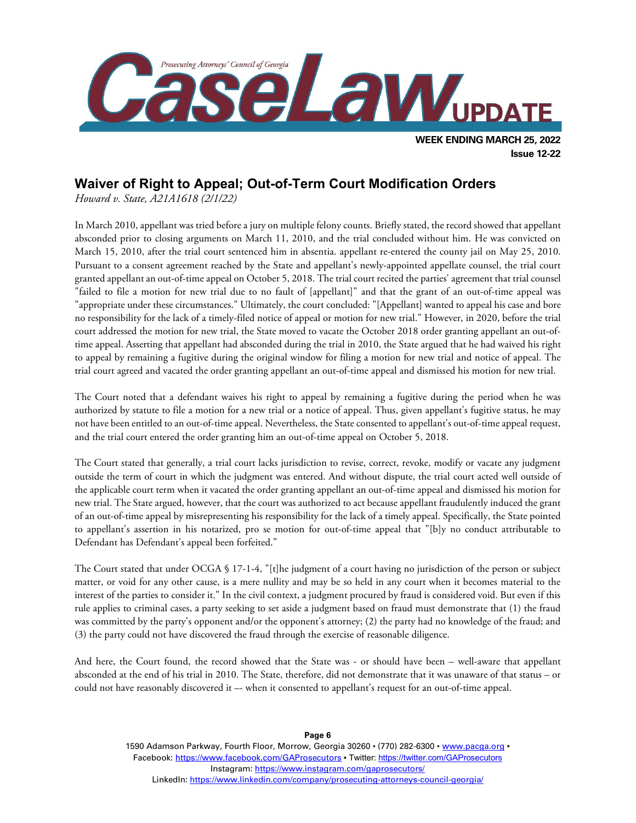

#### **Waiver of Right to Appeal; Out-of-Term Court Modification Orders**

*Howard v. State, A21A1618 (2/1/22)*

In March 2010, appellant was tried before a jury on multiple felony counts. Briefly stated, the record showed that appellant absconded prior to closing arguments on March 11, 2010, and the trial concluded without him. He was convicted on March 15, 2010, after the trial court sentenced him in absentia. appellant re-entered the county jail on May 25, 2010. Pursuant to a consent agreement reached by the State and appellant's newly-appointed appellate counsel, the trial court granted appellant an out-of-time appeal on October 5, 2018. The trial court recited the parties' agreement that trial counsel "failed to file a motion for new trial due to no fault of [appellant]" and that the grant of an out-of-time appeal was "appropriate under these circumstances." Ultimately, the court concluded: "[Appellant] wanted to appeal his case and bore no responsibility for the lack of a timely-filed notice of appeal or motion for new trial." However, in 2020, before the trial court addressed the motion for new trial, the State moved to vacate the October 2018 order granting appellant an out-oftime appeal. Asserting that appellant had absconded during the trial in 2010, the State argued that he had waived his right to appeal by remaining a fugitive during the original window for filing a motion for new trial and notice of appeal. The trial court agreed and vacated the order granting appellant an out-of-time appeal and dismissed his motion for new trial.

The Court noted that a defendant waives his right to appeal by remaining a fugitive during the period when he was authorized by statute to file a motion for a new trial or a notice of appeal. Thus, given appellant's fugitive status, he may not have been entitled to an out-of-time appeal. Nevertheless, the State consented to appellant's out-of-time appeal request, and the trial court entered the order granting him an out-of-time appeal on October 5, 2018.

The Court stated that generally, a trial court lacks jurisdiction to revise, correct, revoke, modify or vacate any judgment outside the term of court in which the judgment was entered. And without dispute, the trial court acted well outside of the applicable court term when it vacated the order granting appellant an out-of-time appeal and dismissed his motion for new trial. The State argued, however, that the court was authorized to act because appellant fraudulently induced the grant of an out-of-time appeal by misrepresenting his responsibility for the lack of a timely appeal. Specifically, the State pointed to appellant's assertion in his notarized, pro se motion for out-of-time appeal that "[b]y no conduct attributable to Defendant has Defendant's appeal been forfeited."

The Court stated that under OCGA § 17-1-4, "[t]he judgment of a court having no jurisdiction of the person or subject matter, or void for any other cause, is a mere nullity and may be so held in any court when it becomes material to the interest of the parties to consider it." In the civil context, a judgment procured by fraud is considered void. But even if this rule applies to criminal cases, a party seeking to set aside a judgment based on fraud must demonstrate that (1) the fraud was committed by the party's opponent and/or the opponent's attorney; (2) the party had no knowledge of the fraud; and (3) the party could not have discovered the fraud through the exercise of reasonable diligence.

And here, the Court found, the record showed that the State was - or should have been – well-aware that appellant absconded at the end of his trial in 2010. The State, therefore, did not demonstrate that it was unaware of that status – or could not have reasonably discovered it –- when it consented to appellant's request for an out-of-time appeal.

> 1590 Adamson Parkway, Fourth Floor, Morrow, Georgia 30260 · (770) 282-6300 · [www.pacga.org](http://www.pacga.org/) · Facebook:<https://www.facebook.com/GAProsecutors> . Twitter[: https://twitter.com/GAProsecutors](https://twitter.com/GAProsecutors) Instagram[: https://www.instagram.com/gaprosecutors/](https://www.instagram.com/gaprosecutors/) LinkedIn:<https://www.linkedin.com/company/prosecuting-attorneys-council-georgia/>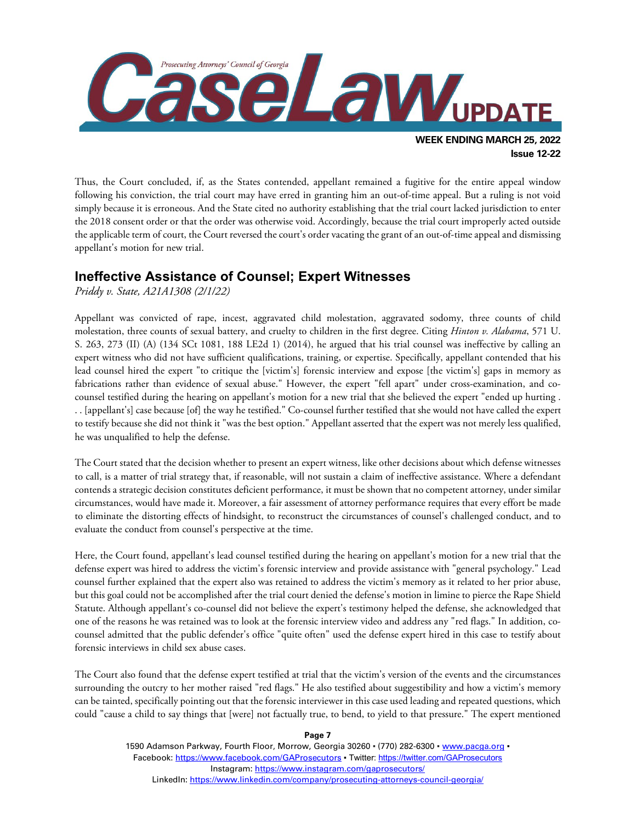

Thus, the Court concluded, if, as the States contended, appellant remained a fugitive for the entire appeal window following his conviction, the trial court may have erred in granting him an out-of-time appeal. But a ruling is not void simply because it is erroneous. And the State cited no authority establishing that the trial court lacked jurisdiction to enter the 2018 consent order or that the order was otherwise void. Accordingly, because the trial court improperly acted outside the applicable term of court, the Court reversed the court's order vacating the grant of an out-of-time appeal and dismissing appellant's motion for new trial.

#### **Ineffective Assistance of Counsel; Expert Witnesses**

*Priddy v. State, A21A1308 (2/1/22)*

Appellant was convicted of rape, incest, aggravated child molestation, aggravated sodomy, three counts of child molestation, three counts of sexual battery, and cruelty to children in the first degree. Citing *Hinton v. Alabama*, 571 U. S. 263, 273 (II) (A) (134 SCt 1081, 188 LE2d 1) (2014), he argued that his trial counsel was ineffective by calling an expert witness who did not have sufficient qualifications, training, or expertise. Specifically, appellant contended that his lead counsel hired the expert "to critique the [victim's] forensic interview and expose [the victim's] gaps in memory as fabrications rather than evidence of sexual abuse." However, the expert "fell apart" under cross-examination, and cocounsel testified during the hearing on appellant's motion for a new trial that she believed the expert "ended up hurting . . . [appellant's] case because [of] the way he testified." Co-counsel further testified that she would not have called the expert to testify because she did not think it "was the best option." Appellant asserted that the expert was not merely less qualified, he was unqualified to help the defense.

The Court stated that the decision whether to present an expert witness, like other decisions about which defense witnesses to call, is a matter of trial strategy that, if reasonable, will not sustain a claim of ineffective assistance. Where a defendant contends a strategic decision constitutes deficient performance, it must be shown that no competent attorney, under similar circumstances, would have made it. Moreover, a fair assessment of attorney performance requires that every effort be made to eliminate the distorting effects of hindsight, to reconstruct the circumstances of counsel's challenged conduct, and to evaluate the conduct from counsel's perspective at the time.

Here, the Court found, appellant's lead counsel testified during the hearing on appellant's motion for a new trial that the defense expert was hired to address the victim's forensic interview and provide assistance with "general psychology." Lead counsel further explained that the expert also was retained to address the victim's memory as it related to her prior abuse, but this goal could not be accomplished after the trial court denied the defense's motion in limine to pierce the Rape Shield Statute. Although appellant's co-counsel did not believe the expert's testimony helped the defense, she acknowledged that one of the reasons he was retained was to look at the forensic interview video and address any "red flags." In addition, cocounsel admitted that the public defender's office "quite often" used the defense expert hired in this case to testify about forensic interviews in child sex abuse cases.

The Court also found that the defense expert testified at trial that the victim's version of the events and the circumstances surrounding the outcry to her mother raised "red flags." He also testified about suggestibility and how a victim's memory can be tainted, specifically pointing out that the forensic interviewer in this case used leading and repeated questions, which could "cause a child to say things that [were] not factually true, to bend, to yield to that pressure." The expert mentioned